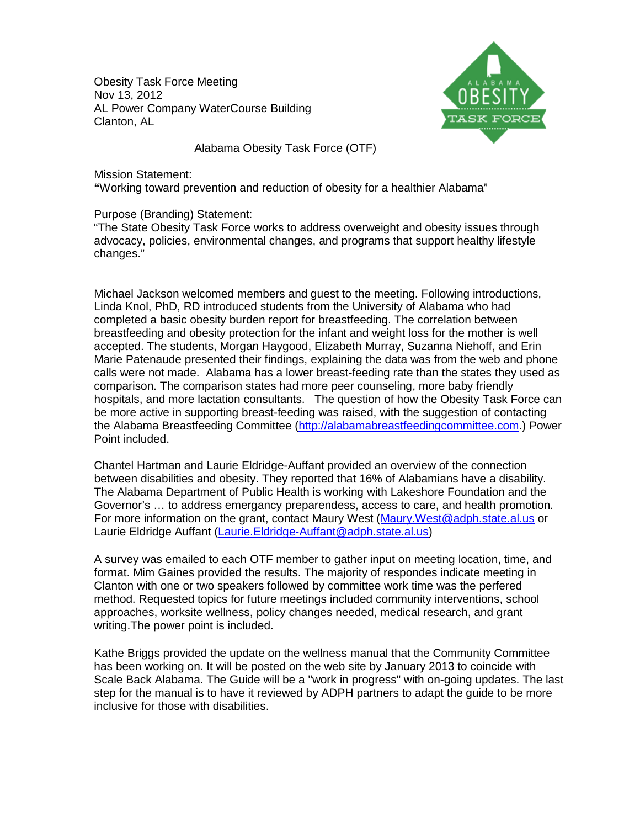Obesity Task Force Meeting Nov 13, 2012 AL Power Company WaterCourse Building Clanton, AL



Alabama Obesity Task Force (OTF)

Mission Statement: **"**Working toward prevention and reduction of obesity for a healthier Alabama"

Purpose (Branding) Statement:

"The State Obesity Task Force works to address overweight and obesity issues through advocacy, policies, environmental changes, and programs that support healthy lifestyle changes."

Michael Jackson welcomed members and guest to the meeting. Following introductions, Linda Knol, PhD, RD introduced students from the University of Alabama who had completed a basic obesity burden report for breastfeeding. The correlation between breastfeeding and obesity protection for the infant and weight loss for the mother is well accepted. The students, Morgan Haygood, Elizabeth Murray, Suzanna Niehoff, and Erin Marie Patenaude presented their findings, explaining the data was from the web and phone calls were not made. Alabama has a lower breast-feeding rate than the states they used as comparison. The comparison states had more peer counseling, more baby friendly hospitals, and more lactation consultants. The question of how the Obesity Task Force can be more active in supporting breast-feeding was raised, with the suggestion of contacting the Alabama Breastfeeding Committee [\(http://alabamabreastfeedingcommittee.com.](http://alabamabreastfeedingcommittee.com/)) Power Point included.

Chantel Hartman and Laurie Eldridge-Auffant provided an overview of the connection between disabilities and obesity. They reported that 16% of Alabamians have a disability. The Alabama Department of Public Health is working with Lakeshore Foundation and the Governor's … to address emergancy preparendess, access to care, and health promotion. For more information on the grant, contact Maury West [\(Maury.West@adph.state.al.us](mailto:Maury.West@adph.state.al.us) or Laurie Eldridge Auffant [\(Laurie.Eldridge-Auffant@adph.state.al.us\)](mailto:Laurie.Eldridge-Auffant@adph.state.al.us)

A survey was emailed to each OTF member to gather input on meeting location, time, and format. Mim Gaines provided the results. The majority of respondes indicate meeting in Clanton with one or two speakers followed by committee work time was the perfered method. Requested topics for future meetings included community interventions, school approaches, worksite wellness, policy changes needed, medical research, and grant writing.The power point is included.

Kathe Briggs provided the update on the wellness manual that the Community Committee has been working on. It will be posted on the web site by January 2013 to coincide with Scale Back Alabama. The Guide will be a "work in progress" with on-going updates. The last step for the manual is to have it reviewed by ADPH partners to adapt the guide to be more inclusive for those with disabilities.